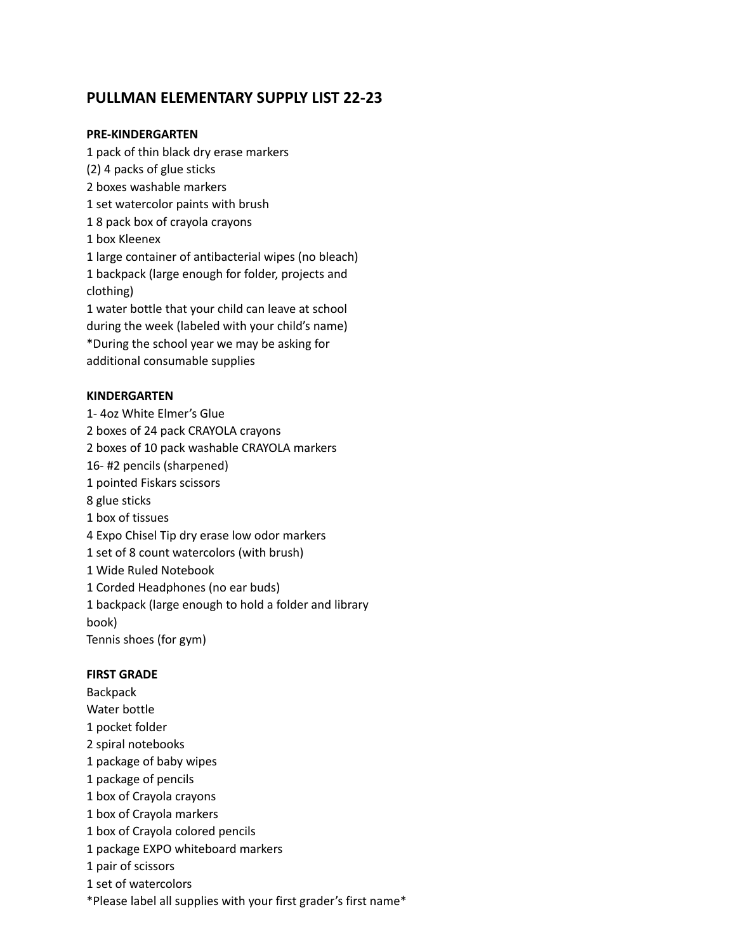# **PULLMAN ELEMENTARY SUPPLY LIST 22-23**

#### **PRE-KINDERGARTEN**

 pack of thin black dry erase markers (2) 4 packs of glue sticks boxes washable markers set watercolor paints with brush 8 pack box of crayola crayons box Kleenex large container of antibacterial wipes (no bleach) backpack (large enough for folder, projects and clothing) water bottle that your child can leave at school during the week (labeled with your child's name) \*During the school year we may be asking for additional consumable supplies

#### **KINDERGARTEN**

1- 4oz White Elmer's Glue

boxes of 24 pack CRAYOLA crayons

boxes of 10 pack washable CRAYOLA markers

16- #2 pencils (sharpened)

- pointed Fiskars scissors
- glue sticks
- box of tissues
- Expo Chisel Tip dry erase low odor markers
- set of 8 count watercolors (with brush)
- Wide Ruled Notebook
- Corded Headphones (no ear buds)

 backpack (large enough to hold a folder and library book)

Tennis shoes (for gym)

#### **FIRST GRADE**

Backpack Water bottle pocket folder spiral notebooks package of baby wipes package of pencils box of Crayola crayons box of Crayola markers box of Crayola colored pencils package EXPO whiteboard markers pair of scissors set of watercolors

\*Please label all supplies with your first grader's first name\*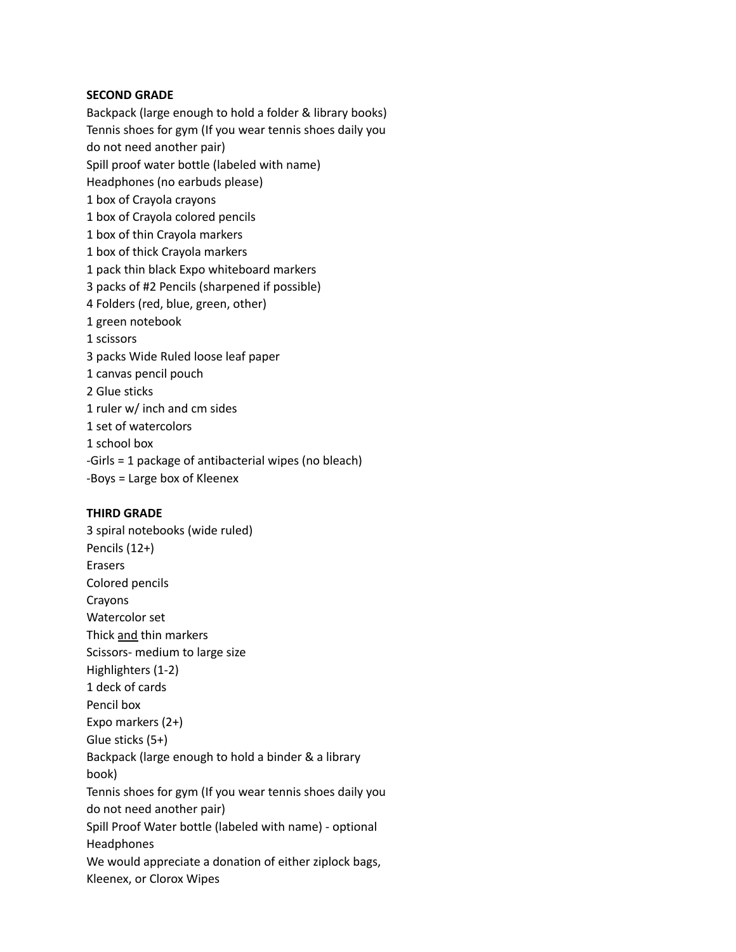#### **SECOND GRADE**

Backpack (large enough to hold a folder & library books) Tennis shoes for gym (If you wear tennis shoes daily you do not need another pair) Spill proof water bottle (labeled with name) Headphones (no earbuds please) box of Crayola crayons box of Crayola colored pencils box of thin Crayola markers box of thick Crayola markers pack thin black Expo whiteboard markers packs of #2 Pencils (sharpened if possible) Folders (red, blue, green, other) green notebook 1 scissors packs Wide Ruled loose leaf paper canvas pencil pouch Glue sticks ruler w/ inch and cm sides set of watercolors school box -Girls = 1 package of antibacterial wipes (no bleach)

-Boys = Large box of Kleenex

#### **THIRD GRADE**

3 spiral notebooks (wide ruled) Pencils (12+) Erasers Colored pencils Crayons Watercolor set Thick and thin markers Scissors- medium to large size Highlighters (1-2) 1 deck of cards Pencil box Expo markers (2+) Glue sticks (5+) Backpack (large enough to hold a binder & a library book) Tennis shoes for gym (If you wear tennis shoes daily you do not need another pair) Spill Proof Water bottle (labeled with name) - optional Headphones We would appreciate a donation of either ziplock bags, Kleenex, or Clorox Wipes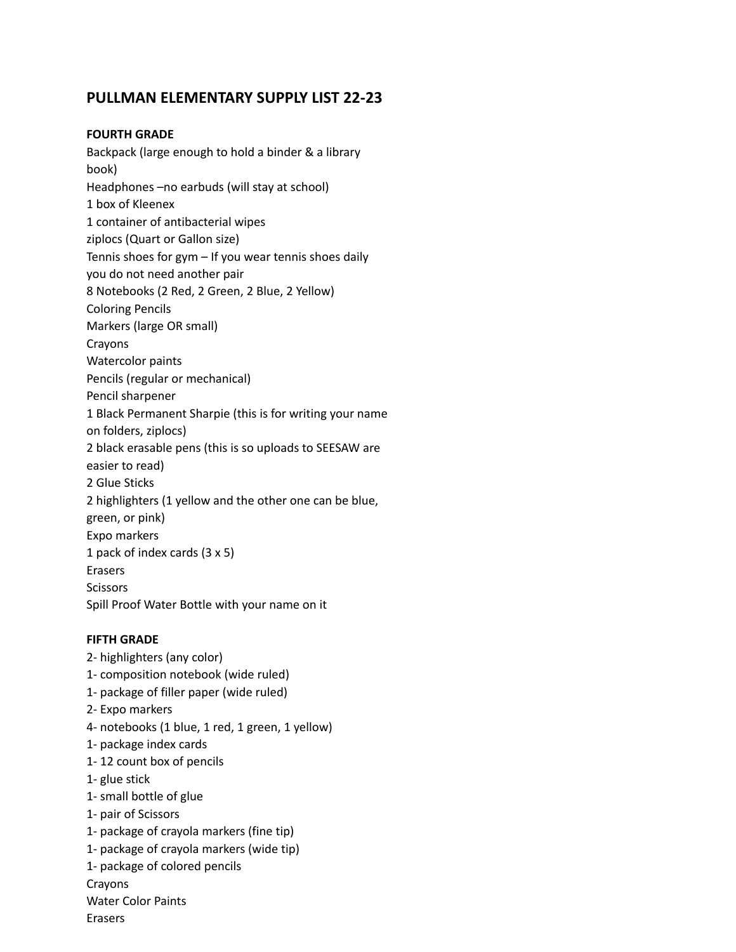# **PULLMAN ELEMENTARY SUPPLY LIST 22-23**

### **FOURTH GRADE**

Backpack (large enough to hold a binder & a library book) Headphones –no earbuds (will stay at school) 1 box of Kleenex 1 container of antibacterial wipes ziplocs (Quart or Gallon size) Tennis shoes for gym – If you wear tennis shoes daily you do not need another pair 8 Notebooks (2 Red, 2 Green, 2 Blue, 2 Yellow) Coloring Pencils Markers (large OR small) Crayons Watercolor paints Pencils (regular or mechanical) Pencil sharpener 1 Black Permanent Sharpie (this is for writing your name on folders, ziplocs) 2 black erasable pens (this is so uploads to SEESAW are easier to read) 2 Glue Sticks 2 highlighters (1 yellow and the other one can be blue, green, or pink) Expo markers 1 pack of index cards (3 x 5) Erasers **Scissors** Spill Proof Water Bottle with your name on it

#### **FIFTH GRADE**

2- highlighters (any color) 1- composition notebook (wide ruled) 1- package of filler paper (wide ruled) 2- Expo markers 4- notebooks (1 blue, 1 red, 1 green, 1 yellow) 1- package index cards 1- 12 count box of pencils 1- glue stick 1- small bottle of glue 1- pair of Scissors 1- package of crayola markers (fine tip) 1- package of crayola markers (wide tip) 1- package of colored pencils Crayons Water Color Paints Erasers